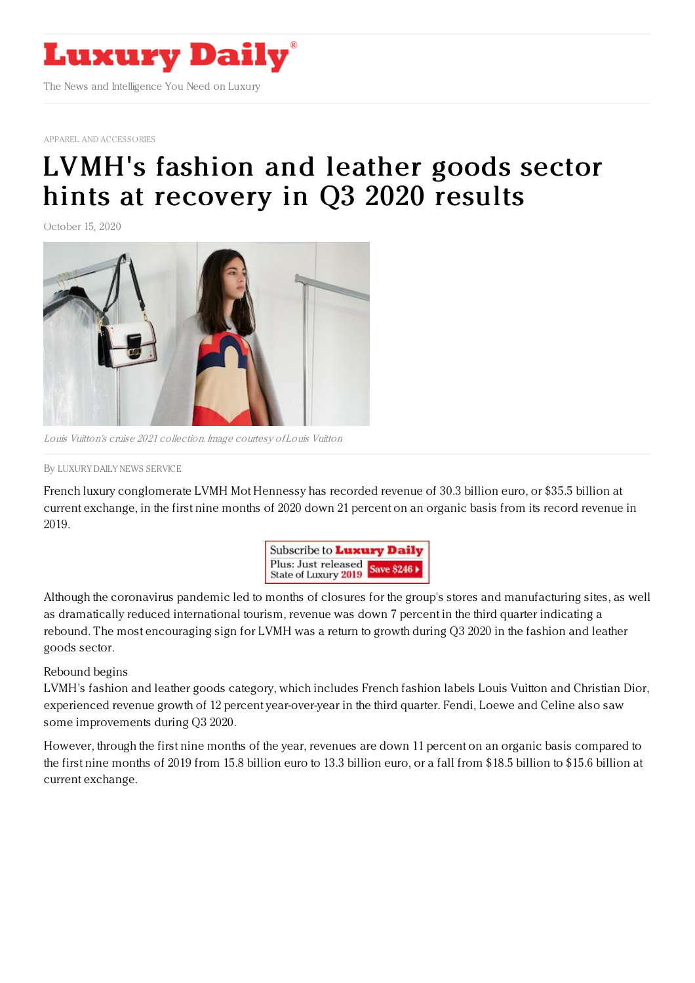

APPAREL AND [ACCESSORIES](https://www.luxurydaily.com/category/sectors/apparel-and-accessories/)

## LVMH's fashion and leather goods sector hints at [recovery](https://www.luxurydaily.com/lvmhs-fashion-and-leather-goods-sector-hints-at-recovery-in-q3-2020-results/) in Q3 2020 results

October 15, 2020



Louis Vuitton's cruise 2021 collection. Image courtesy of Louis Vuitton

## By LUXURY DAILY NEWS [SERVICE](file:///author/luxury-daily-news-service)

French luxury conglomerate LVMH Mot Hennessy has recorded revenue of 30.3 billion euro, or \$35.5 billion at current exchange, in the first nine months of 2020 down 21 percent on an organic basis from its record revenue in 2019.



Although the coronavirus pandemic led to months of closures for the group's stores and manufacturing sites, as well as dramatically reduced international tourism, revenue was down 7 percent in the third quarter indicating a rebound. The most encouraging sign for LVMH was a return to growth during Q3 2020 in the fashion and leather goods sector.

## Rebound begins

LVMH's fashion and leather goods category, which includes French fashion labels Louis Vuitton and Christian Dior, experienced revenue growth of 12 percent year-over-year in the third quarter. Fendi, Loewe and Celine also saw some improvements during Q3 2020.

However, through the first nine months of the year, revenues are down 11 percent on an organic basis compared to the first nine months of 2019 from 15.8 billion euro to 13.3 billion euro, or a fall from \$18.5 billion to \$15.6 billion at current exchange.